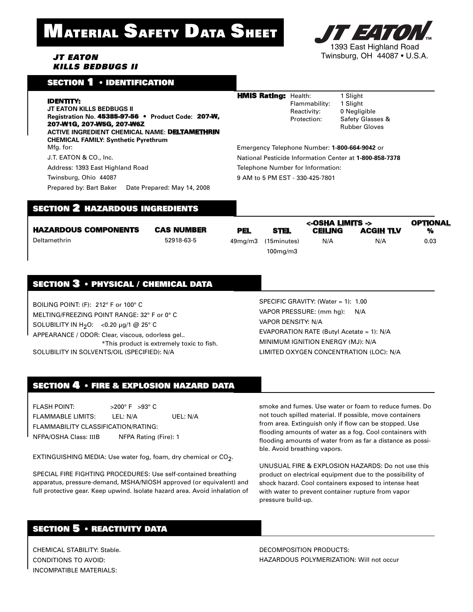# **MATERIAL SAFETY DATA SHEET**





#### SECTION 1 • IDENTIFICATION

| I | D | ENTITY: |  |  |  |
|---|---|---------|--|--|--|
|   |   |         |  |  |  |

**JT EATON KILLS BEDBUGS II Registration No.** 45385-97-56 • **Product Code:** 207-W, 207-W1G, 207-W5G, 207-W6Z **ACTIVE INGREDIENT CHEMICAL NAME:** DELTAMETHRIN **CHEMICAL FAMILY: Synthetic Pyrethrum** Mfa. for: J.T. EATON & CO., Inc. Address: 1393 East Highland Road Twinsburg, Ohio 44087

Prepared by: Bart Baker Date Prepared: May 14, 2008

**HMIS Rating:** Health: 1 Slight Flammability: 1 Slight Reactivity: 0 Negligible<br>Protection: Safety Glass

Safety Glasses & Rubber Gloves

Emergency Telephone Number: **1-800-664-9042** or National Pesticide Information Center at **1-800-858-7378** Telephone Number for Information: 9 AM to 5 PM EST - 330-425-7801

#### SECTION 2 HAZARDOUS INGREDIENTS

|                             |                   |            |                     | <-OSHA LIMITS -> |                  | <b>OPTIONAL</b> |
|-----------------------------|-------------------|------------|---------------------|------------------|------------------|-----------------|
| <b>HAZARDOUS COMPONENTS</b> | <b>CAS NUMBER</b> | <b>PEL</b> | <b>STEL</b>         | <b>CEILING</b>   | <b>ACGIH TLV</b> | %               |
| Deltamethrin                | 52918-63-5        |            | 49mg/m3 (15minutes) | N/A              | N/A              | 0.03            |
|                             |                   |            | $100$ mg/m $3$      |                  |                  |                 |

## SECTION 3 • PHYSICAL / CHEMICAL DATA

BOILING POINT: (F): 212° F or 100° C MELTING/FREEZING POINT RANGE: 32° F or 0° C SOLUBILITY IN H<sub>2</sub>O: <0.20 µg/1 @ 25° C APPEARANCE / ODOR: Clear, viscous, odorless gel.. \*This product is extremely toxic to fish. SOLUBILITY IN SOLVENTS/OIL (SPECIFIED): N/A

SPECIFIC GRAVITY: (Water = 1): 1.00 VAPOR PRESSURE: (mm hg): N/A VAPOR DENSITY: N/A EVAPORATION RATE (Butyl Acetate = 1): N/A MINIMUM IGNITION ENERGY (MJ): N/A LIMITED OXYGEN CONCENTRATION (LOC): N/A

### SECTION 4 • FIRE & EXPLOSION HAZARD DATA

FLASH POINT: >200° F >93° C FLAMMABLE LIMITS: LEL: N/A UEL: N/A FLAMMABILITY CLASSIFICATION/RATING: NFPA/OSHA Class: IIIB NFPA Rating (Fire): 1

EXTINGUISHING MEDIA: Use water fog, foam, dry chemical or CO<sub>2</sub>.

SPECIAL FIRE FIGHTING PROCEDURES: Use self-contained breathing apparatus, pressure-demand, MSHA/NIOSH approved (or equivalent) and full protective gear. Keep upwind. Isolate hazard area. Avoid inhalation of

smoke and fumes. Use water or foam to reduce fumes. Do not touch spilled material. If possible, move containers from area. Extinguish only if flow can be stopped. Use flooding amounts of water as a fog. Cool containers with flooding amounts of water from as far a distance as possible. Avoid breathing vapors.

UNUSUAL FIRE & EXPLOSION HAZARDS: Do not use this product on electrical equipment due to the possibility of shock hazard. Cool containers exposed to intense heat with water to prevent container rupture from vapor pressure build-up.

DECOMPOSITION PRODUCTS: HAZARDOUS POLYMERIZATION: Will not occur

# SECTION 5 • REACTIVITY DATA

CHEMICAL STABILITY: Stable. CONDITIONS TO AVOID: INCOMPATIBLE MATERIALS: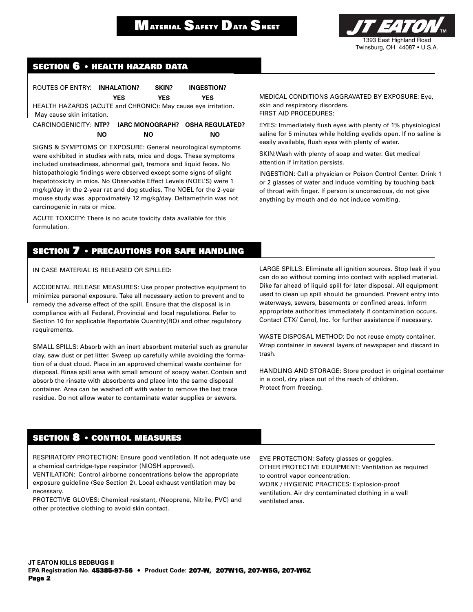

#### **SECTION 6 • HEALTH HAZARD DATA**

| ROUTES OF ENTRY: INHALATION?                                  |     |     | SKIN?      | <b>INGESTION?</b>               |  |  |  |
|---------------------------------------------------------------|-----|-----|------------|---------------------------------|--|--|--|
|                                                               | YES |     | <b>YES</b> | YES                             |  |  |  |
| HEALTH HAZARDS (ACUTE and CHRONIC): May cause eye irritation. |     |     |            |                                 |  |  |  |
| May cause skin irritation.                                    |     |     |            |                                 |  |  |  |
| CARCINOGENICITY: NTP?                                         |     |     |            | IARC MONOGRAPH? OSHA REGULATED? |  |  |  |
|                                                               | NO. | NO. |            | NΟ                              |  |  |  |
|                                                               |     |     |            |                                 |  |  |  |

SIGNS & SYMPTOMS OF EXPOSURE: General neurological symptoms were exhibited in studies with rats, mice and dogs. These symptoms included unsteadiness, abnormal gait, tremors and liquid feces. No histopathologic findings were observed except some signs of slight hepatotoxicity in mice. No Observable Effect Levels (NOEL'S) were 1 mg/kg/day in the 2-year rat and dog studies. The NOEL for the 2-year mouse study was approximately 12 mg/kg/day. Deltamethrin was not carcinogenic in rats or mice.

ACUTE TOXICITY: There is no acute toxicity data available for this formulation.

**SECTION 7 • PRECAUTIONS FOR SAFE HANDLING**

#### IN CASE MATERIAL IS RELEASED OR SPILLED:

ACCIDENTAL RELEASE MEASURES: Use proper protective equipment to minimize personal exposure. Take all necessary action to prevent and to remedy the adverse effect of the spill. Ensure that the disposal is in compliance with all Federal, Provincial and local regulations. Refer to Section 10 for applicable Reportable Quantity(RQ) and other regulatory requirements.

SMALL SPILLS: Absorb with an inert absorbent material such as granular clay, saw dust or pet litter. Sweep up carefully while avoiding the formation of a dust cloud. Place in an approved chemical waste container for disposal. Rinse spill area with small amount of soapy water. Contain and absorb the rinsate with absorbents and place into the same disposal container. Area can be washed off with water to remove the last trace residue. Do not allow water to contaminate water supplies or sewers.

MEDICAL CONDITIONS AGGRAVATED BY EXPOSURE: Eye, skin and respiratory disorders. FIRST AID PROCEDURES:

EYES: Immediately flush eyes with plenty of 1% physiological saline for 5 minutes while holding eyelids open. If no saline is easily available, flush eyes with plenty of water.

SKIN:Wash with plenty of soap and water. Get medical attention if irritation persists.

INGESTION: Call a physician or Poison Control Center. Drink 1 or 2 glasses of water and induce vomiting by touching back of throat with finger. If person is unconscious, do not give anything by mouth and do not induce vomiting.

LARGE SPILLS: Eliminate all ignition sources. Stop leak if you can do so without coming into contact with applied material. Dike far ahead of liquid spill for later disposal. All equipment used to clean up spill should be grounded. Prevent entry into waterways, sewers, basements or confined areas. Inform appropriate authorities immediately if contamination occurs. Contact CTX/ Cenol, Inc. for further assistance if necessary.

WASTE DISPOSAL METHOD: Do not reuse empty container. Wrap container in several layers of newspaper and discard in trash.

HANDLING AND STORAGE: Store product in original container in a cool, dry place out of the reach of children. Protect from freezing.

#### **SECTION 8 • CONTROL MEASURES**

RESPIRATORY PROTECTION: Ensure good ventilation. If not adequate use a chemical cartridge-type respirator (NIOSH approved).

VENTILATION: Control airborne concentrations below the appropriate exposure guideline (See Section 2). Local exhaust ventilation may be necessary.

PROTECTIVE GLOVES: Chemical resistant, (Neoprene, Nitrile, PVC) and other protective clothing to avoid skin contact.

EYE PROTECTION: Safety glasses or goggles. OTHER PROTECTIVE EQUIPMENT: Ventilation as required to control vapor concentration. WORK / HYGIENIC PRACTICES: Explosion-proof ventilation. Air dry contaminated clothing in a well ventilated area.